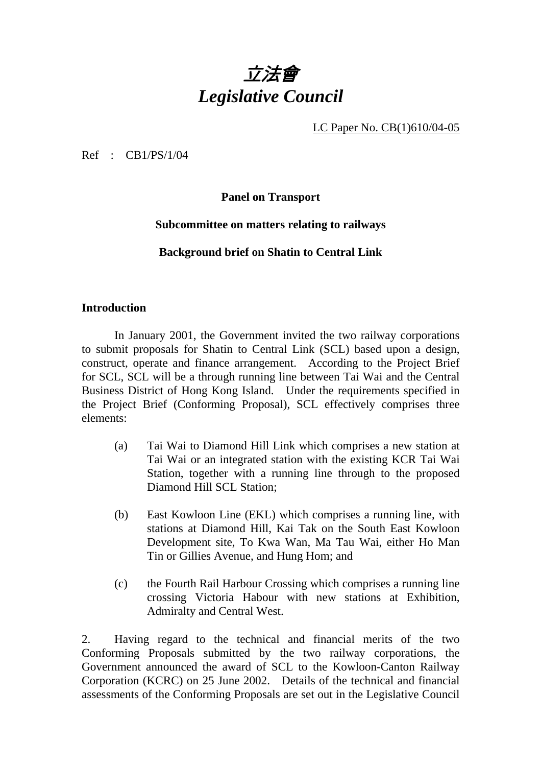

LC Paper No. CB(1)610/04-05

Ref : CB1/PS/1/04

**Panel on Transport** 

#### **Subcommittee on matters relating to railways**

**Background brief on Shatin to Central Link** 

#### **Introduction**

1. In January 2001, the Government invited the two railway corporations to submit proposals for Shatin to Central Link (SCL) based upon a design, construct, operate and finance arrangement. According to the Project Brief for SCL, SCL will be a through running line between Tai Wai and the Central Business District of Hong Kong Island. Under the requirements specified in the Project Brief (Conforming Proposal), SCL effectively comprises three elements:

- (a) Tai Wai to Diamond Hill Link which comprises a new station at Tai Wai or an integrated station with the existing KCR Tai Wai Station, together with a running line through to the proposed Diamond Hill SCL Station;
- (b) East Kowloon Line (EKL) which comprises a running line, with stations at Diamond Hill, Kai Tak on the South East Kowloon Development site, To Kwa Wan, Ma Tau Wai, either Ho Man Tin or Gillies Avenue, and Hung Hom; and
- (c) the Fourth Rail Harbour Crossing which comprises a running line crossing Victoria Habour with new stations at Exhibition, Admiralty and Central West.

2. Having regard to the technical and financial merits of the two Conforming Proposals submitted by the two railway corporations, the Government announced the award of SCL to the Kowloon-Canton Railway Corporation (KCRC) on 25 June 2002. Details of the technical and financial assessments of the Conforming Proposals are set out in the Legislative Council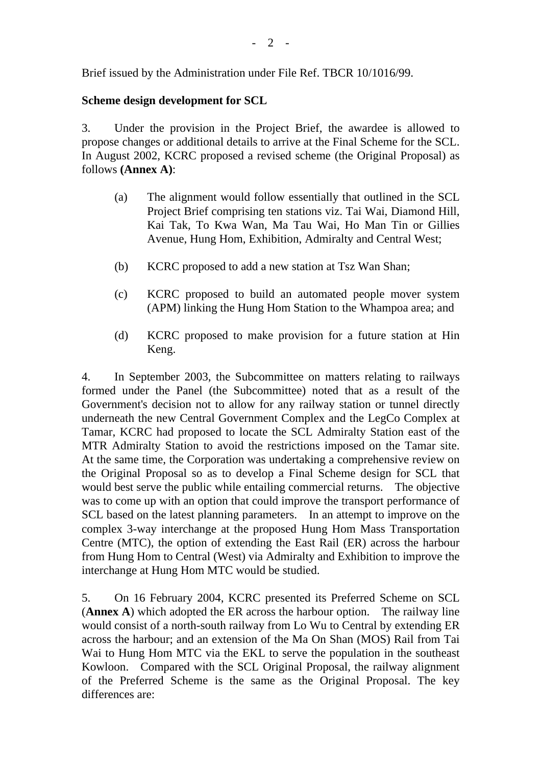Brief issued by the Administration under File Ref. TBCR 10/1016/99.

## **Scheme design development for SCL**

3. Under the provision in the Project Brief, the awardee is allowed to propose changes or additional details to arrive at the Final Scheme for the SCL. In August 2002, KCRC proposed a revised scheme (the Original Proposal) as follows **(Annex A)**:

- (a) The alignment would follow essentially that outlined in the SCL Project Brief comprising ten stations viz. Tai Wai, Diamond Hill, Kai Tak, To Kwa Wan, Ma Tau Wai, Ho Man Tin or Gillies Avenue, Hung Hom, Exhibition, Admiralty and Central West;
- (b) KCRC proposed to add a new station at Tsz Wan Shan;
- (c) KCRC proposed to build an automated people mover system (APM) linking the Hung Hom Station to the Whampoa area; and
- (d) KCRC proposed to make provision for a future station at Hin Keng.

4. In September 2003, the Subcommittee on matters relating to railways formed under the Panel (the Subcommittee) noted that as a result of the Government's decision not to allow for any railway station or tunnel directly underneath the new Central Government Complex and the LegCo Complex at Tamar, KCRC had proposed to locate the SCL Admiralty Station east of the MTR Admiralty Station to avoid the restrictions imposed on the Tamar site. At the same time, the Corporation was undertaking a comprehensive review on the Original Proposal so as to develop a Final Scheme design for SCL that would best serve the public while entailing commercial returns. The objective was to come up with an option that could improve the transport performance of SCL based on the latest planning parameters. In an attempt to improve on the complex 3-way interchange at the proposed Hung Hom Mass Transportation Centre (MTC), the option of extending the East Rail (ER) across the harbour from Hung Hom to Central (West) via Admiralty and Exhibition to improve the interchange at Hung Hom MTC would be studied.

5. On 16 February 2004, KCRC presented its Preferred Scheme on SCL (**Annex A**) which adopted the ER across the harbour option. The railway line would consist of a north-south railway from Lo Wu to Central by extending ER across the harbour; and an extension of the Ma On Shan (MOS) Rail from Tai Wai to Hung Hom MTC via the EKL to serve the population in the southeast Kowloon. Compared with the SCL Original Proposal, the railway alignment of the Preferred Scheme is the same as the Original Proposal. The key differences are: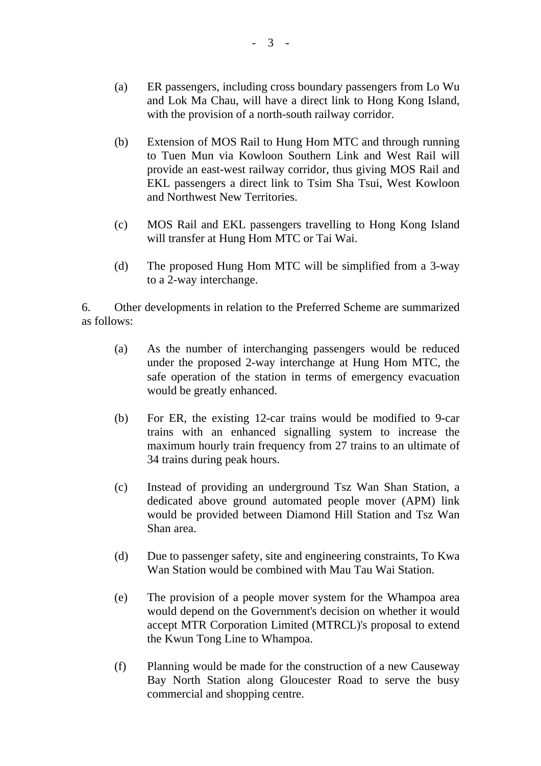- (a) ER passengers, including cross boundary passengers from Lo Wu and Lok Ma Chau, will have a direct link to Hong Kong Island, with the provision of a north-south railway corridor.
- (b) Extension of MOS Rail to Hung Hom MTC and through running to Tuen Mun via Kowloon Southern Link and West Rail will provide an east-west railway corridor, thus giving MOS Rail and EKL passengers a direct link to Tsim Sha Tsui, West Kowloon and Northwest New Territories.
- (c) MOS Rail and EKL passengers travelling to Hong Kong Island will transfer at Hung Hom MTC or Tai Wai.
- (d) The proposed Hung Hom MTC will be simplified from a 3-way to a 2-way interchange.

6. Other developments in relation to the Preferred Scheme are summarized as follows:

- (a) As the number of interchanging passengers would be reduced under the proposed 2-way interchange at Hung Hom MTC, the safe operation of the station in terms of emergency evacuation would be greatly enhanced.
- (b) For ER, the existing 12-car trains would be modified to 9-car trains with an enhanced signalling system to increase the maximum hourly train frequency from 27 trains to an ultimate of 34 trains during peak hours.
- (c) Instead of providing an underground Tsz Wan Shan Station, a dedicated above ground automated people mover (APM) link would be provided between Diamond Hill Station and Tsz Wan Shan area.
- (d) Due to passenger safety, site and engineering constraints, To Kwa Wan Station would be combined with Mau Tau Wai Station.
- (e) The provision of a people mover system for the Whampoa area would depend on the Government's decision on whether it would accept MTR Corporation Limited (MTRCL)'s proposal to extend the Kwun Tong Line to Whampoa.
- (f) Planning would be made for the construction of a new Causeway Bay North Station along Gloucester Road to serve the busy commercial and shopping centre.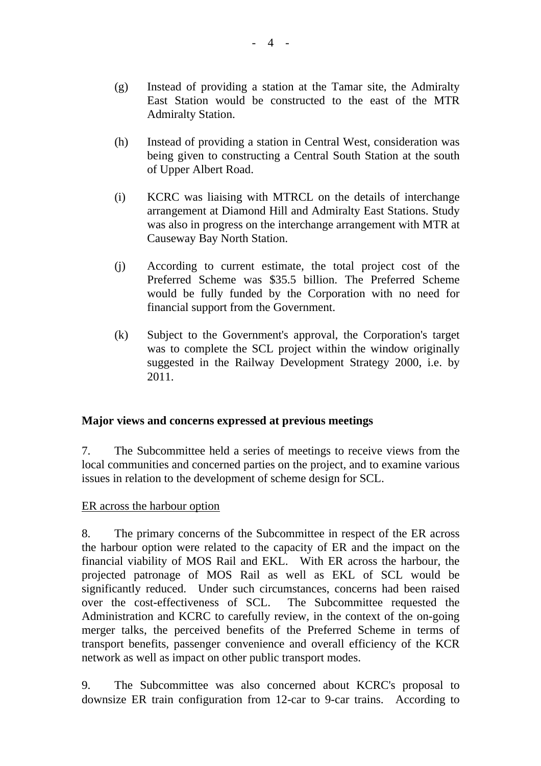- (g) Instead of providing a station at the Tamar site, the Admiralty East Station would be constructed to the east of the MTR Admiralty Station.
- (h) Instead of providing a station in Central West, consideration was being given to constructing a Central South Station at the south of Upper Albert Road.
- (i) KCRC was liaising with MTRCL on the details of interchange arrangement at Diamond Hill and Admiralty East Stations. Study was also in progress on the interchange arrangement with MTR at Causeway Bay North Station.
- (j) According to current estimate, the total project cost of the Preferred Scheme was \$35.5 billion. The Preferred Scheme would be fully funded by the Corporation with no need for financial support from the Government.
- (k) Subject to the Government's approval, the Corporation's target was to complete the SCL project within the window originally suggested in the Railway Development Strategy 2000, i.e. by 2011.

# **Major views and concerns expressed at previous meetings**

7. The Subcommittee held a series of meetings to receive views from the local communities and concerned parties on the project, and to examine various issues in relation to the development of scheme design for SCL.

### ER across the harbour option

8. The primary concerns of the Subcommittee in respect of the ER across the harbour option were related to the capacity of ER and the impact on the financial viability of MOS Rail and EKL. With ER across the harbour, the projected patronage of MOS Rail as well as EKL of SCL would be significantly reduced. Under such circumstances, concerns had been raised over the cost-effectiveness of SCL. The Subcommittee requested the Administration and KCRC to carefully review, in the context of the on-going merger talks, the perceived benefits of the Preferred Scheme in terms of transport benefits, passenger convenience and overall efficiency of the KCR network as well as impact on other public transport modes.

9. The Subcommittee was also concerned about KCRC's proposal to downsize ER train configuration from 12-car to 9-car trains. According to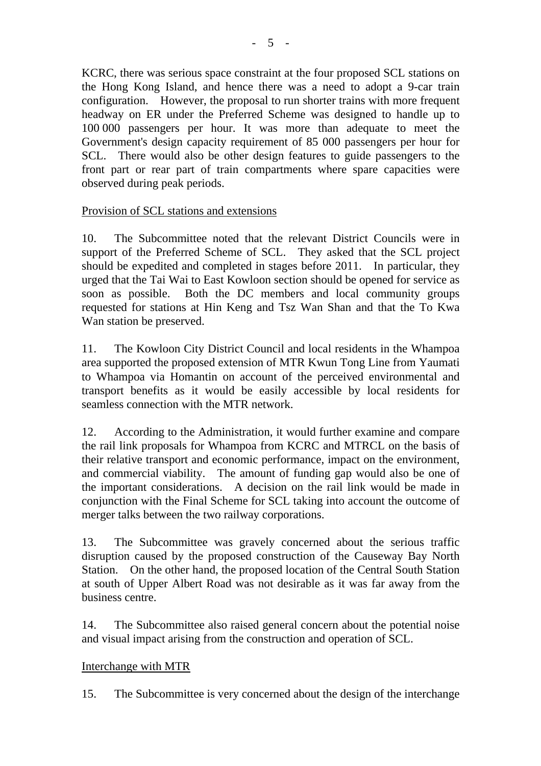KCRC, there was serious space constraint at the four proposed SCL stations on the Hong Kong Island, and hence there was a need to adopt a 9-car train configuration. However, the proposal to run shorter trains with more frequent headway on ER under the Preferred Scheme was designed to handle up to 100 000 passengers per hour. It was more than adequate to meet the Government's design capacity requirement of 85 000 passengers per hour for SCL. There would also be other design features to guide passengers to the front part or rear part of train compartments where spare capacities were observed during peak periods.

## Provision of SCL stations and extensions

10. The Subcommittee noted that the relevant District Councils were in support of the Preferred Scheme of SCL. They asked that the SCL project should be expedited and completed in stages before 2011. In particular, they urged that the Tai Wai to East Kowloon section should be opened for service as soon as possible. Both the DC members and local community groups requested for stations at Hin Keng and Tsz Wan Shan and that the To Kwa Wan station be preserved.

11. The Kowloon City District Council and local residents in the Whampoa area supported the proposed extension of MTR Kwun Tong Line from Yaumati to Whampoa via Homantin on account of the perceived environmental and transport benefits as it would be easily accessible by local residents for seamless connection with the MTR network.

12. According to the Administration, it would further examine and compare the rail link proposals for Whampoa from KCRC and MTRCL on the basis of their relative transport and economic performance, impact on the environment, and commercial viability. The amount of funding gap would also be one of the important considerations. A decision on the rail link would be made in conjunction with the Final Scheme for SCL taking into account the outcome of merger talks between the two railway corporations.

13. The Subcommittee was gravely concerned about the serious traffic disruption caused by the proposed construction of the Causeway Bay North Station. On the other hand, the proposed location of the Central South Station at south of Upper Albert Road was not desirable as it was far away from the business centre.

14. The Subcommittee also raised general concern about the potential noise and visual impact arising from the construction and operation of SCL.

### Interchange with MTR

15. The Subcommittee is very concerned about the design of the interchange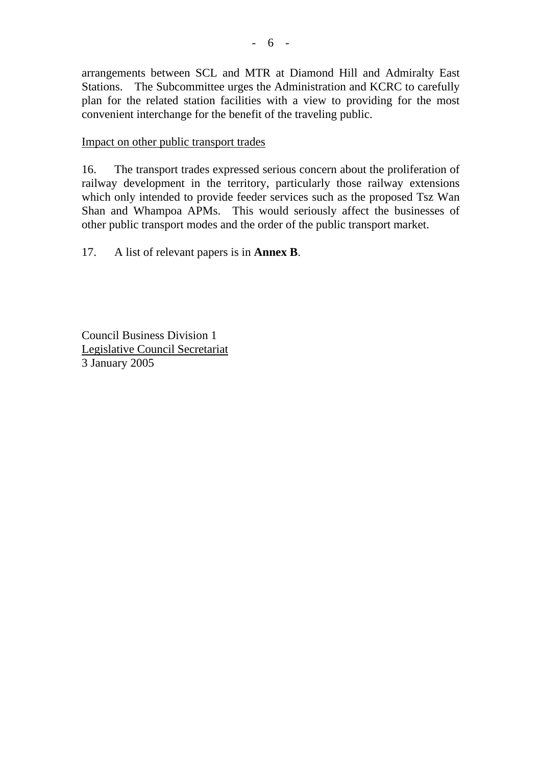arrangements between SCL and MTR at Diamond Hill and Admiralty East Stations. The Subcommittee urges the Administration and KCRC to carefully plan for the related station facilities with a view to providing for the most convenient interchange for the benefit of the traveling public.

Impact on other public transport trades

16. The transport trades expressed serious concern about the proliferation of railway development in the territory, particularly those railway extensions which only intended to provide feeder services such as the proposed Tsz Wan Shan and Whampoa APMs. This would seriously affect the businesses of other public transport modes and the order of the public transport market.

17. A list of relevant papers is in **Annex B**.

Council Business Division 1 Legislative Council Secretariat 3 January 2005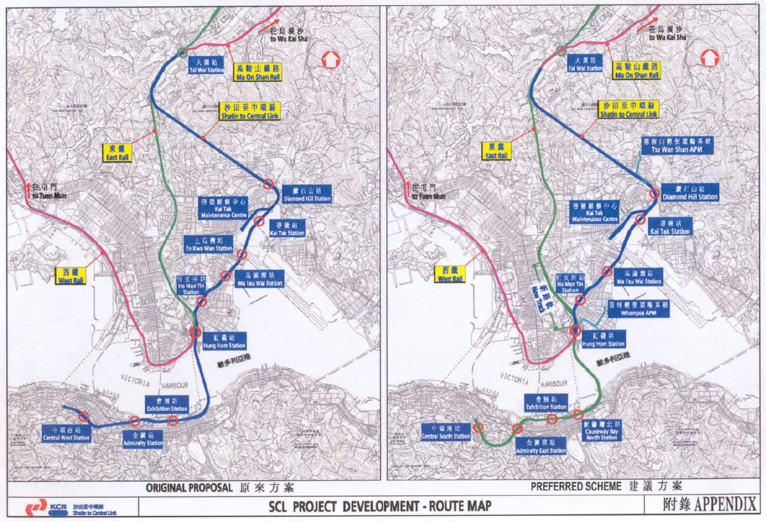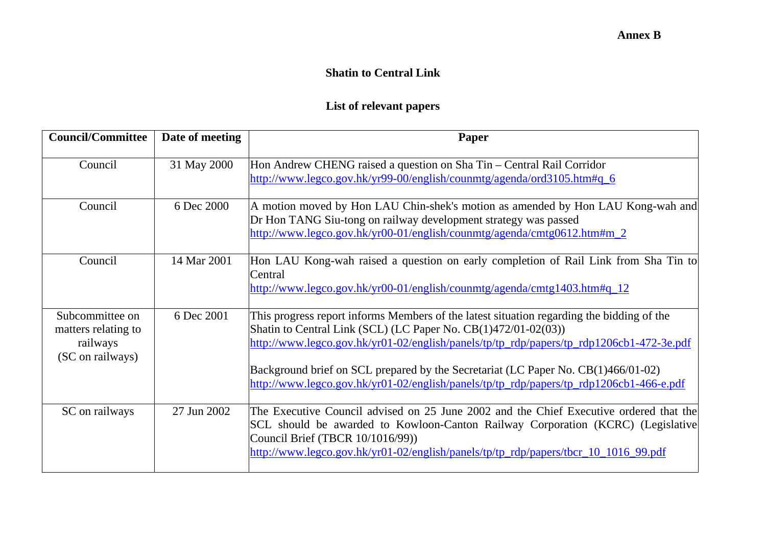## **Annex B**

#### **Shatin to Central Link**

# **List of relevant papers**

| <b>Council/Committee</b>                                               | Date of meeting | Paper                                                                                                                                                                                                                                                                                                                                                                                                                                   |
|------------------------------------------------------------------------|-----------------|-----------------------------------------------------------------------------------------------------------------------------------------------------------------------------------------------------------------------------------------------------------------------------------------------------------------------------------------------------------------------------------------------------------------------------------------|
| Council                                                                | 31 May 2000     | Hon Andrew CHENG raised a question on Sha Tin – Central Rail Corridor<br>http://www.legco.gov.hk/yr99-00/english/counmtg/agenda/ord3105.htm#q_6                                                                                                                                                                                                                                                                                         |
| Council                                                                | 6 Dec 2000      | A motion moved by Hon LAU Chin-shek's motion as amended by Hon LAU Kong-wah and<br>Dr Hon TANG Siu-tong on railway development strategy was passed<br>http://www.legco.gov.hk/yr00-01/english/counmtg/agenda/cmtg0612.htm#m_2                                                                                                                                                                                                           |
| Council                                                                | 14 Mar 2001     | Hon LAU Kong-wah raised a question on early completion of Rail Link from Sha Tin to<br>Central<br>http://www.legco.gov.hk/yr00-01/english/counmtg/agenda/cmtg1403.htm#q_12                                                                                                                                                                                                                                                              |
| Subcommittee on<br>matters relating to<br>railways<br>(SC on railways) | 6 Dec 2001      | This progress report informs Members of the latest situation regarding the bidding of the<br>Shatin to Central Link (SCL) (LC Paper No. CB(1)472/01-02(03))<br>http://www.legco.gov.hk/yr01-02/english/panels/tp/tp_rdp/papers/tp_rdp1206cb1-472-3e.pdf<br>Background brief on SCL prepared by the Secretariat (LC Paper No. CB(1)466/01-02)<br>http://www.legco.gov.hk/yr01-02/english/panels/tp/tp_rdp/papers/tp_rdp1206cb1-466-e.pdf |
| SC on railways                                                         | 27 Jun 2002     | The Executive Council advised on 25 June 2002 and the Chief Executive ordered that the<br>SCL should be awarded to Kowloon-Canton Railway Corporation (KCRC) (Legislative<br>Council Brief (TBCR 10/1016/99))<br>http://www.legco.gov.hk/yr01-02/english/panels/tp/tp_rdp/papers/tbcr_10_1016_99.pdf                                                                                                                                    |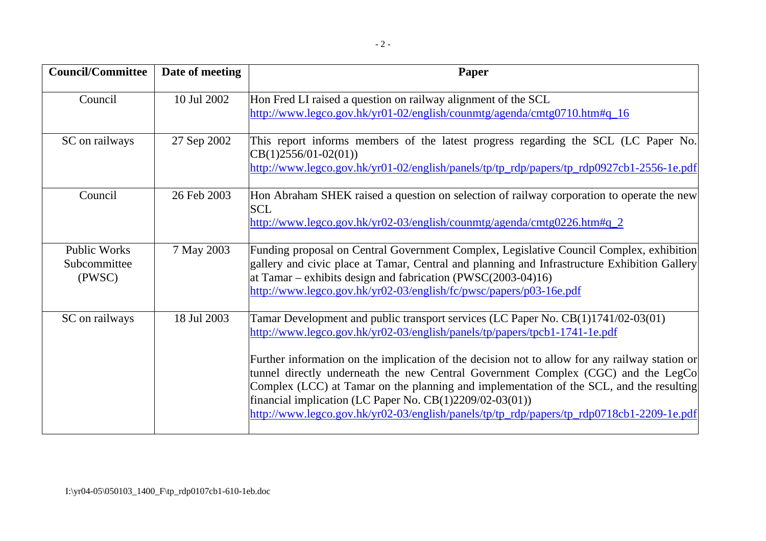| <b>Council/Committee</b>                      | Date of meeting | Paper                                                                                                                                                                                                                                                                                                                                                                                                                                                                                                                                                                                                        |
|-----------------------------------------------|-----------------|--------------------------------------------------------------------------------------------------------------------------------------------------------------------------------------------------------------------------------------------------------------------------------------------------------------------------------------------------------------------------------------------------------------------------------------------------------------------------------------------------------------------------------------------------------------------------------------------------------------|
| Council                                       | 10 Jul 2002     | Hon Fred LI raised a question on railway alignment of the SCL<br>http://www.legco.gov.hk/yr01-02/english/counmtg/agenda/cmtg0710.htm#q_16                                                                                                                                                                                                                                                                                                                                                                                                                                                                    |
| SC on railways                                | 27 Sep 2002     | This report informs members of the latest progress regarding the SCL (LC Paper No.<br>$CB(1)2556/01-02(01))$<br>http://www.legco.gov.hk/yr01-02/english/panels/tp/tp_rdp/papers/tp_rdp0927cb1-2556-1e.pdf                                                                                                                                                                                                                                                                                                                                                                                                    |
| Council                                       | 26 Feb 2003     | Hon Abraham SHEK raised a question on selection of railway corporation to operate the new<br><b>SCL</b><br>http://www.legco.gov.hk/yr02-03/english/counmtg/agenda/cmtg0226.htm#q_2                                                                                                                                                                                                                                                                                                                                                                                                                           |
| <b>Public Works</b><br>Subcommittee<br>(PWSC) | 7 May 2003      | Funding proposal on Central Government Complex, Legislative Council Complex, exhibition<br>gallery and civic place at Tamar, Central and planning and Infrastructure Exhibition Gallery<br>at Tamar – exhibits design and fabrication (PWSC $(2003-04)16$ )<br>http://www.legco.gov.hk/yr02-03/english/fc/pwsc/papers/p03-16e.pdf                                                                                                                                                                                                                                                                            |
| SC on railways                                | 18 Jul 2003     | Tamar Development and public transport services (LC Paper No. CB(1)1741/02-03(01)<br>http://www.legco.gov.hk/yr02-03/english/panels/tp/papers/tpcb1-1741-1e.pdf<br>Further information on the implication of the decision not to allow for any railway station or<br>tunnel directly underneath the new Central Government Complex (CGC) and the LegCo<br>Complex (LCC) at Tamar on the planning and implementation of the SCL, and the resulting<br>financial implication (LC Paper No. $CB(1)2209/02-03(01))$<br>http://www.legco.gov.hk/yr02-03/english/panels/tp/tp_rdp/papers/tp_rdp0718cb1-2209-1e.pdf |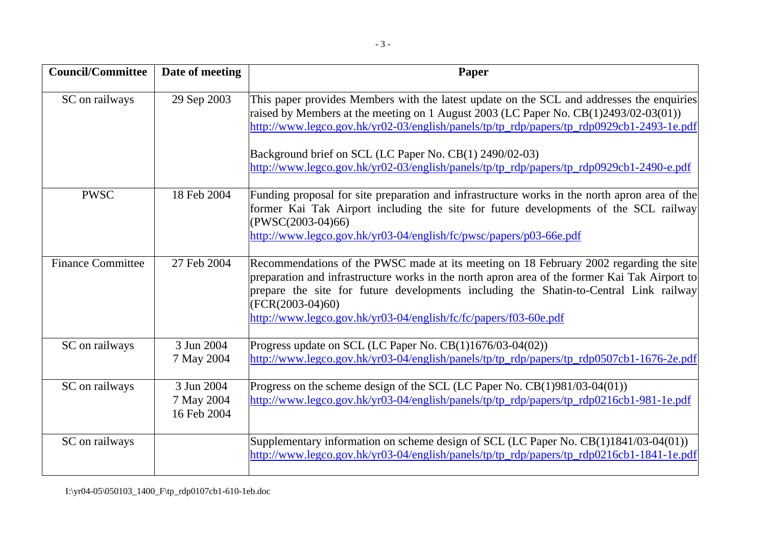| <b>Council/Committee</b> | Date of meeting                         | Paper                                                                                                                                                                                                                                                                                                                                                                                                                                 |
|--------------------------|-----------------------------------------|---------------------------------------------------------------------------------------------------------------------------------------------------------------------------------------------------------------------------------------------------------------------------------------------------------------------------------------------------------------------------------------------------------------------------------------|
| SC on railways           | 29 Sep 2003                             | This paper provides Members with the latest update on the SCL and addresses the enquiries<br>raised by Members at the meeting on 1 August 2003 (LC Paper No. CB(1)2493/02-03(01))<br>http://www.legco.gov.hk/yr02-03/english/panels/tp/tp_rdp/papers/tp_rdp0929cb1-2493-1e.pdf<br>Background brief on SCL (LC Paper No. CB(1) 2490/02-03)<br>http://www.legco.gov.hk/yr02-03/english/panels/tp/tp_rdp/papers/tp_rdp0929cb1-2490-e.pdf |
| <b>PWSC</b>              | 18 Feb 2004                             | Funding proposal for site preparation and infrastructure works in the north apron area of the<br>former Kai Tak Airport including the site for future developments of the SCL railway<br>$(PWSC(2003-04)66)$<br>http://www.legco.gov.hk/yr03-04/english/fc/pwsc/papers/p03-66e.pdf                                                                                                                                                    |
| <b>Finance Committee</b> | 27 Feb 2004                             | Recommendations of the PWSC made at its meeting on 18 February 2002 regarding the site<br>preparation and infrastructure works in the north apron area of the former Kai Tak Airport to<br>prepare the site for future developments including the Shatin-to-Central Link railway<br>$(FCR(2003-04)60)$<br>http://www.legco.gov.hk/yr03-04/english/fc/fc/papers/f03-60e.pdf                                                            |
| SC on railways           | 3 Jun 2004<br>7 May 2004                | Progress update on SCL (LC Paper No. CB(1)1676/03-04(02))<br>http://www.legco.gov.hk/yr03-04/english/panels/tp/tp_rdp/papers/tp_rdp0507cb1-1676-2e.pdf                                                                                                                                                                                                                                                                                |
| SC on railways           | 3 Jun 2004<br>7 May 2004<br>16 Feb 2004 | Progress on the scheme design of the SCL (LC Paper No. $CB(1)981/03-04(01)$ )<br>http://www.legco.gov.hk/yr03-04/english/panels/tp/tp_rdp/papers/tp_rdp0216cb1-981-1e.pdf                                                                                                                                                                                                                                                             |
| SC on railways           |                                         | Supplementary information on scheme design of SCL (LC Paper No. $CB(1)1841/03-04(01)$ )<br>http://www.legco.gov.hk/yr03-04/english/panels/tp/tp_rdp/papers/tp_rdp0216cb1-1841-1e.pdf                                                                                                                                                                                                                                                  |